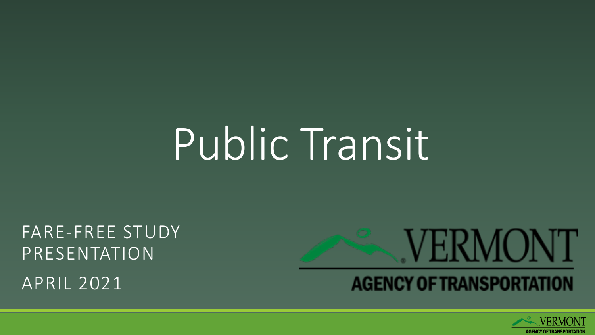## Public Transit

FARE-FREE STUDY PRESENTATION APRIL 2021



## **AGENCY OF TRANSPORTATION**

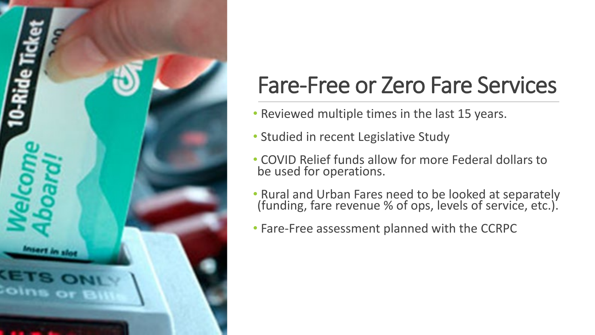

## Fare-Free or Zero Fare Services

- Reviewed multiple times in the last 15 years.
- Studied in recent Legislative Study
- COVID Relief funds allow for more Federal dollars to be used for operations.
- Rural and Urban Fares need to be looked at separately (funding, fare revenue % of ops, levels of service, etc.).
- Fare-Free assessment planned with the CCRPC